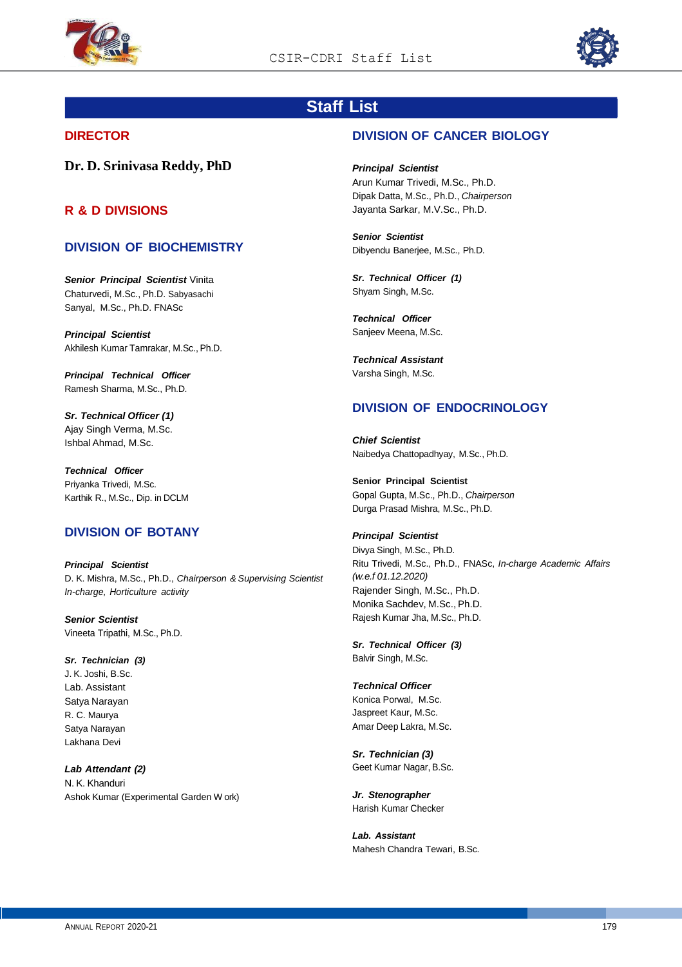



# **Staff List**

## **DIRECTOR**

**Dr. D. Srinivasa Reddy, PhD**

## **R & D DIVISIONS**

## **DIVISION OF BIOCHEMISTRY**

*Senior Principal Scientist* Vinita Chaturvedi, M.Sc., Ph.D. Sabyasachi Sanyal, M.Sc., Ph.D. FNASc

*Principal Scientist* Akhilesh Kumar Tamrakar, M.Sc., Ph.D.

*Principal Technical Officer* Ramesh Sharma, M.Sc., Ph.D.

*Sr. Technical Officer (1)*  Ajay Singh Verma, M.Sc. Ishbal Ahmad, M.Sc.

*Technical Officer* Priyanka Trivedi, M.Sc. Karthik R., M.Sc., Dip. in DCLM

## **DIVISION OF BOTANY**

*Principal Scientist* D. K. Mishra, M.Sc., Ph.D., *Chairperson & Supervising Scientist In-charge, Horticulture activity*

*Senior Scientist* Vineeta Tripathi, M.Sc., Ph.D.

*Sr. Technician (3)* J. K. Joshi, B.Sc. Lab. Assistant Satya Narayan R. C. Maurya Satya Narayan Lakhana Devi

*Lab Attendant (2)* N. K. Khanduri Ashok Kumar (Experimental Garden W ork)

## **DIVISION OF CANCER BIOLOGY**

*Principal Scientist* Arun Kumar Trivedi, M.Sc., Ph.D. Dipak Datta, M.Sc., Ph.D., *Chairperson*  Jayanta Sarkar, M.V.Sc., Ph.D.

*Senior Scientist* Dibyendu Banerjee, M.Sc., Ph.D.

*Sr. Technical Officer (1)* Shyam Singh, M.Sc.

*Technical Officer* Sanjeev Meena, M.Sc.

*Technical Assistant* Varsha Singh, M.Sc.

## **DIVISION OF ENDOCRINOLOGY**

*Chief Scientist* Naibedya Chattopadhyay, M.Sc., Ph.D.

**Senior Principal Scientist** Gopal Gupta, M.Sc., Ph.D., *Chairperson* Durga Prasad Mishra, M.Sc., Ph.D.

*Principal Scientist* Divya Singh, M.Sc., Ph.D. Ritu Trivedi, M.Sc., Ph.D., FNASc, *In-charge Academic Affairs (w.e.f 01.12.2020)* Rajender Singh, M.Sc., Ph.D.

Monika Sachdev, M.Sc., Ph.D. Rajesh Kumar Jha, M.Sc., Ph.D.

*Sr. Technical Officer (3)* Balvir Singh, M.Sc.

*Technical Officer*  Konica Porwal, M.Sc. Jaspreet Kaur, M.Sc. Amar Deep Lakra, M.Sc.

*Sr. Technician (3)* Geet Kumar Nagar, B.Sc.

*Jr. Stenographer* Harish Kumar Checker

*Lab. Assistant* Mahesh Chandra Tewari, B.Sc.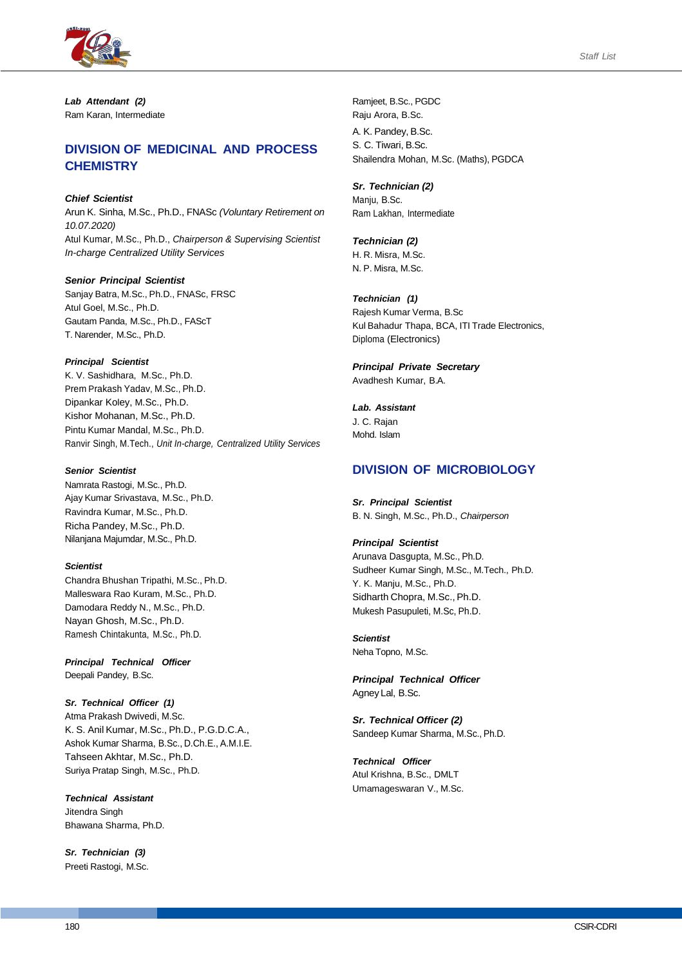



*Lab Attendant (2)* Ram Karan, Intermediate

## **DIVISION OF MEDICINAL AND PROCESS CHEMISTRY**

*Chief Scientist*

Arun K. Sinha, M.Sc., Ph.D., FNASc *(Voluntary Retirement on 10.07.2020)* Atul Kumar, M.Sc., Ph.D., *Chairperson & Supervising Scientist In-charge Centralized Utility Services*

#### *Senior Principal Scientist*

Sanjay Batra, M.Sc., Ph.D., FNASc, FRSC Atul Goel, M.Sc., Ph.D. Gautam Panda, M.Sc., Ph.D., FAScT T. Narender, M.Sc., Ph.D.

#### *Principal Scientist*

K. V. Sashidhara, M.Sc., Ph.D. Prem Prakash Yadav, M.Sc., Ph.D. Dipankar Koley, M.Sc., Ph.D. Kishor Mohanan, M.Sc., Ph.D. Pintu Kumar Mandal, M.Sc., Ph.D. Ranvir Singh, M.Tech., *Unit In-charge, Centralized Utility Services*

#### *Senior Scientist*

Namrata Rastogi, M.Sc., Ph.D. Ajay Kumar Srivastava, M.Sc., Ph.D. Ravindra Kumar, M.Sc., Ph.D. Richa Pandey, M.Sc., Ph.D. Nilanjana Majumdar, M.Sc., Ph.D.

#### *Scientist*

Chandra Bhushan Tripathi, M.Sc., Ph.D. Malleswara Rao Kuram, M.Sc., Ph.D. Damodara Reddy N., M.Sc., Ph.D. Nayan Ghosh, M.Sc., Ph.D. Ramesh Chintakunta, M.Sc., Ph.D.

*Principal Technical Officer* Deepali Pandey, B.Sc.

*Sr. Technical Officer (1)* Atma Prakash Dwivedi, M.Sc. K. S. Anil Kumar, M.Sc., Ph.D., P.G.D.C.A., Ashok Kumar Sharma, B.Sc., D.Ch.E., A.M.I.E. Tahseen Akhtar, M.Sc., Ph.D. Suriya Pratap Singh, M.Sc., Ph.D.

*Technical Assistant* Jitendra Singh Bhawana Sharma, Ph.D.

*Sr. Technician (3)* Preeti Rastogi, M.Sc. Ramjeet, B.Sc., PGDC Raju Arora, B.Sc. A. K. Pandey, B.Sc. S. C. Tiwari, B.Sc. Shailendra Mohan, M.Sc. (Maths), PGDCA

*Sr. Technician (2)* Manju, B.Sc. Ram Lakhan, Intermediate

*Technician (2)* H. R. Misra, M.Sc. N. P. Misra, M.Sc.

*Technician (1)* Rajesh Kumar Verma, B.Sc Kul Bahadur Thapa, BCA, ITI Trade Electronics, Diploma (Electronics)

*Principal Private Secretary* Avadhesh Kumar, B.A.

*Lab. Assistant* J. C. Rajan Mohd. Islam

## **DIVISION OF MICROBIOLOGY**

*Sr. Principal Scientist* B. N. Singh, M.Sc., Ph.D., *Chairperson*

#### *Principal Scientist*

Arunava Dasgupta, M.Sc., Ph.D. Sudheer Kumar Singh, M.Sc., M.Tech., Ph.D. Y. K. Manju, M.Sc., Ph.D. Sidharth Chopra, M.Sc., Ph.D. Mukesh Pasupuleti, M.Sc, Ph.D.

## *Scientist*

Neha Topno, M.Sc.

*Principal Technical Officer* Agney Lal, B.Sc.

*Sr. Technical Officer (2)* Sandeep Kumar Sharma, M.Sc., Ph.D.

*Technical Officer* Atul Krishna, B.Sc., DMLT Umamageswaran V., M.Sc.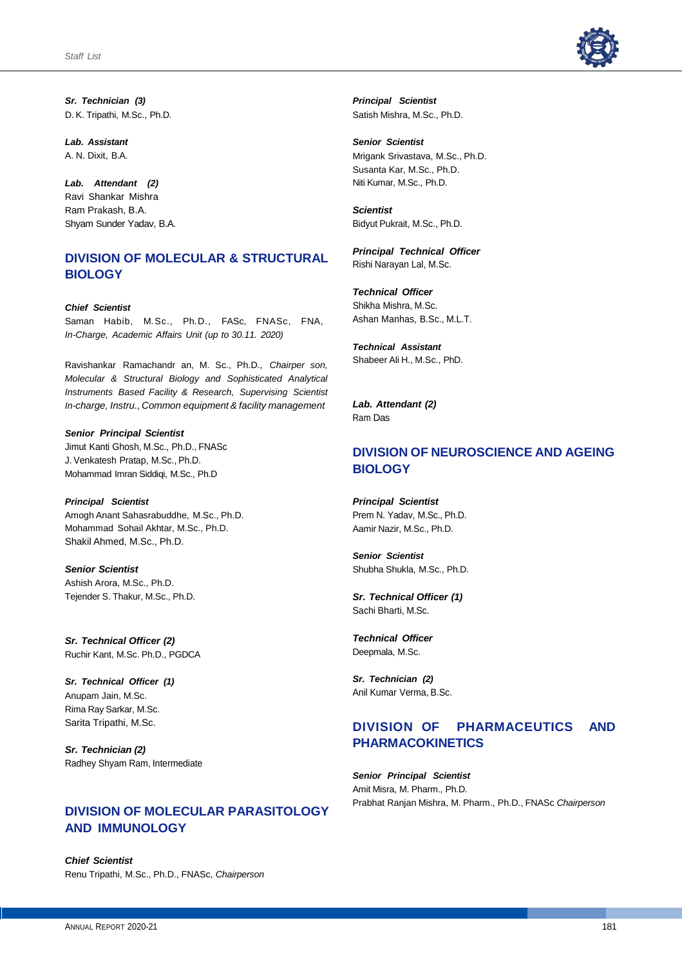

*Sr. Technician (3)* D. K. Tripathi, M.Sc., Ph.D.

*Lab. Assistant* A. N. Dixit, B.A.

*Lab. Attendant (2)*  Ravi Shankar Mishra Ram Prakash, B.A. Shyam Sunder Yadav, B.A.

## **DIVISION OF MOLECULAR & STRUCTURAL BIOLOGY**

*Chief Scientist* Saman Habib, M.Sc., Ph.D., FASc, FNASc, FNA, *In-Charge, Academic Affairs Unit (up to 30.11. 2020)*

Ravishankar Ramachandr an, M. Sc., Ph.D., *Chairper son, Molecular & Structural Biology and Sophisticated Analytical Instruments Based Facility & Research, Supervising Scientist In-charge, Instru., Common equipment & facility management*

*Senior Principal Scientist* Jimut Kanti Ghosh, M.Sc., Ph.D., FNASc J. Venkatesh Pratap, M.Sc., Ph.D. Mohammad Imran Siddiqi, M.Sc., Ph.D

*Principal Scientist* Amogh Anant Sahasrabuddhe, M.Sc., Ph.D. Mohammad Sohail Akhtar, M.Sc., Ph.D. Shakil Ahmed, M.Sc., Ph.D.

*Senior Scientist* Ashish Arora, M.Sc., Ph.D. Tejender S. Thakur, M.Sc., Ph.D.

*Sr. Technical Officer (2)* Ruchir Kant, M.Sc. Ph.D., PGDCA

*Sr. Technical Officer (1)* Anupam Jain, M.Sc. Rima Ray Sarkar, M.Sc. Sarita Tripathi, M.Sc.

*Sr. Technician (2)* Radhey Shyam Ram, Intermediate

## **DIVISION OF MOLECULAR PARASITOLOGY AND IMMUNOLOGY**

*Chief Scientist* Renu Tripathi, M.Sc., Ph.D., FNASc, *Chairperson* *Principal Scientist* Satish Mishra, M.Sc., Ph.D.

*Senior Scientist* Mrigank Srivastava, M.Sc., Ph.D. Susanta Kar, M.Sc., Ph.D. Niti Kumar, M.Sc., Ph.D.

*Scientist* Bidyut Pukrait, M.Sc., Ph.D.

*Principal Technical Officer* Rishi Narayan Lal, M.Sc.

*Technical Officer* Shikha Mishra, M.Sc. Ashan Manhas, B.Sc., M.L.T.

*Technical Assistant* Shabeer Ali H., M.Sc., PhD.

*Lab. Attendant (2)* Ram Das

# **DIVISION OF NEUROSCIENCE AND AGEING BIOLOGY**

*Principal Scientist* Prem N. Yadav, M.Sc., Ph.D. Aamir Nazir, M.Sc., Ph.D.

*Senior Scientist* Shubha Shukla, M.Sc., Ph.D.

*Sr. Technical Officer (1)* Sachi Bharti, M.Sc.

*Technical Officer* Deepmala, M.Sc.

*Sr. Technician (2)* Anil Kumar Verma, B.Sc.

## **DIVISION OF PHARMACEUTICS AND PHARMACOKINETICS**

*Senior Principal Scientist* Amit Misra, M. Pharm., Ph.D. Prabhat Ranjan Mishra, M. Pharm., Ph.D., FNASc *Chairperson*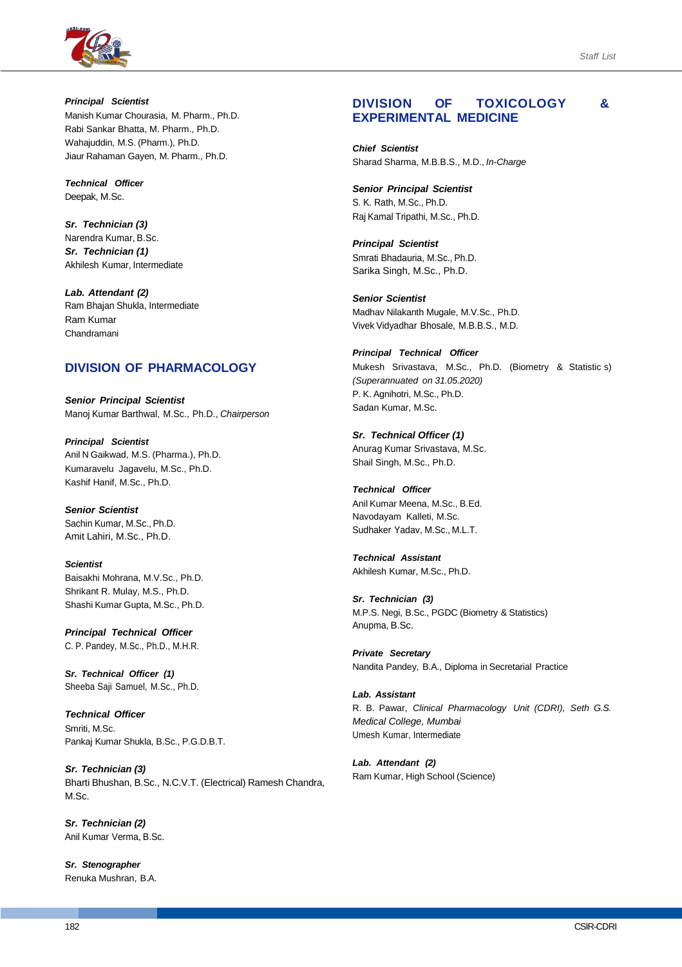

*Principal Scientist* Manish Kumar Chourasia, M. Pharm., Ph.D. Rabi Sankar Bhatta, M. Pharm., Ph.D. Wahajuddin, M.S. (Pharm.), Ph.D. Jiaur Rahaman Gayen, M. Pharm., Ph.D.

*Technical Officer* Deepak, M.Sc.

*Sr. Technician (3)*  Narendra Kumar, B.Sc. *Sr. Technician (1)* Akhilesh Kumar, Intermediate

*Lab. Attendant (2)* Ram Bhajan Shukla, Intermediate Ram Kumar Chandramani

## **DIVISION OF PHARMACOLOGY**

*Senior Principal Scientist* Manoj Kumar Barthwal, M.Sc., Ph.D., *Chairperson*

*Principal Scientist* Anil N Gaikwad, M.S. (Pharma.), Ph.D. Kumaravelu Jagavelu, M.Sc., Ph.D. Kashif Hanif, M.Sc., Ph.D.

*Senior Scientist* Sachin Kumar, M.Sc., Ph.D. Amit Lahiri, M.Sc., Ph.D.

*Scientist* Baisakhi Mohrana, M.V.Sc., Ph.D. Shrikant R. Mulay, M.S., Ph.D. Shashi Kumar Gupta, M.Sc., Ph.D.

*Principal Technical Officer* C. P. Pandey, M.Sc., Ph.D., M.H.R.

*Sr. Technical Officer (1)* Sheeba Saji Samuel, M.Sc., Ph.D.

*Technical Officer* Smriti, M.Sc. Pankaj Kumar Shukla, B.Sc., P.G.D.B.T.

*Sr. Technician (3)* Bharti Bhushan, B.Sc., N.C.V.T. (Electrical) Ramesh Chandra, M.Sc.

*Sr. Technician (2)* Anil Kumar Verma, B.Sc.

*Sr. Stenographer* Renuka Mushran, B.A.

## **DIVISION OF TOXICOLOGY & EXPERIMENTAL MEDICINE**

*Chief Scientist* Sharad Sharma, M.B.B.S., M.D., *In-Charge*

*Senior Principal Scientist*

S. K. Rath, M.Sc., Ph.D. Raj Kamal Tripathi, M.Sc., Ph.D.

*Principal Scientist* Smrati Bhadauria, M.Sc., Ph.D. Sarika Singh, M.Sc., Ph.D.

*Senior Scientist* Madhav Nilakanth Mugale, M.V.Sc., Ph.D. Vivek Vidyadhar Bhosale, M.B.B.S., M.D.

*Principal Technical Officer* Mukesh Srivastava, M.Sc., Ph.D. (Biometry & Statistic s) *(Superannuated on 31.05.2020)* P. K. Agnihotri, M.Sc., Ph.D. Sadan Kumar, M.Sc.

*Sr. Technical Officer (1)*  Anurag Kumar Srivastava, M.Sc. Shail Singh, M.Sc., Ph.D.

*Technical Officer* Anil Kumar Meena, M.Sc., B.Ed. Navodayam Kalleti, M.Sc. Sudhaker Yadav, M.Sc., M.L.T.

*Technical Assistant* Akhilesh Kumar, M.Sc., Ph.D.

*Sr. Technician (3)* M.P.S. Negi, B.Sc., PGDC (Biometry & Statistics) Anupma, B.Sc.

*Private Secretary* Nandita Pandey, B.A., Diploma in Secretarial Practice

*Lab. Assistant* R. B. Pawar, *Clinical Pharmacology Unit (CDRI), Seth G.S. Medical College, Mumbai* Umesh Kumar, Intermediate

*Lab. Attendant (2)* Ram Kumar, High School (Science)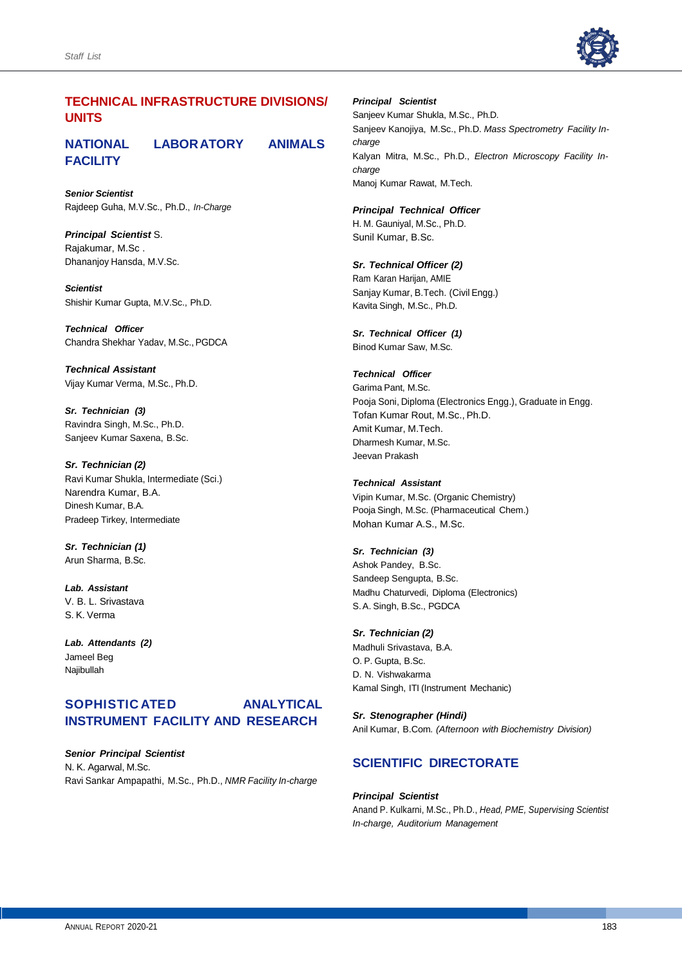

## **TECHNICAL INFRASTRUCTURE DIVISIONS/ UNITS**

# **NATIONAL LABORATORY ANIMALS FACILITY**

*Senior Scientist* Rajdeep Guha, M.V.Sc., Ph.D., *In-Charge*

*Principal Scientist* S. Rajakumar, M.Sc . Dhananjoy Hansda, M.V.Sc.

*Scientist* Shishir Kumar Gupta, M.V.Sc., Ph.D.

*Technical Officer* Chandra Shekhar Yadav, M.Sc., PGDCA

*Technical Assistant* Vijay Kumar Verma, M.Sc., Ph.D.

*Sr. Technician (3)* Ravindra Singh, M.Sc., Ph.D. Sanjeev Kumar Saxena, B.Sc.

*Sr. Technician (2)* Ravi Kumar Shukla, Intermediate (Sci.) Narendra Kumar, B.A. Dinesh Kumar, B.A. Pradeep Tirkey, Intermediate

*Sr. Technician (1)* Arun Sharma, B.Sc.

*Lab. Assistant* V. B. L. Srivastava S. K. Verma

*Lab. Attendants (2)*  Jameel Beg Najibullah

## **SOPHISTIC ATED ANALYTICAL INSTRUMENT FACILITY AND RESEARCH**

*Senior Principal Scientist* N. K. Agarwal, M.Sc. Ravi Sankar Ampapathi, M.Sc., Ph.D., *NMR Facility In-charge*

#### *Principal Scientist*

Sanjeev Kumar Shukla, M.Sc., Ph.D. Sanjeev Kanojiya, M.Sc., Ph.D. *Mass Spectrometry Facility Incharge* Kalyan Mitra, M.Sc., Ph.D., *Electron Microscopy Facility Incharge* Manoj Kumar Rawat, M.Tech.

## *Principal Technical Officer*

H. M. Gauniyal, M.Sc., Ph.D. Sunil Kumar, B.Sc.

#### *Sr. Technical Officer (2)*

Ram Karan Harijan, AMIE Sanjay Kumar, B.Tech. (Civil Engg.) Kavita Singh, M.Sc., Ph.D.

*Sr. Technical Officer (1)* Binod Kumar Saw, M.Sc.

#### *Technical Officer*

Garima Pant, M.Sc. Pooja Soni, Diploma (Electronics Engg.), Graduate in Engg. Tofan Kumar Rout, M.Sc., Ph.D. Amit Kumar, M.Tech. Dharmesh Kumar, M.Sc. Jeevan Prakash

#### *Technical Assistant*

Vipin Kumar, M.Sc. (Organic Chemistry) Pooja Singh, M.Sc. (Pharmaceutical Chem.) Mohan Kumar A.S., M.Sc.

#### *Sr. Technician (3)*

Ashok Pandey, B.Sc. Sandeep Sengupta, B.Sc. Madhu Chaturvedi, Diploma (Electronics) S.A. Singh, B.Sc., PGDCA

#### *Sr. Technician (2)*

Madhuli Srivastava, B.A. O. P. Gupta, B.Sc. D. N. Vishwakarma Kamal Singh, ITI (Instrument Mechanic)

#### *Sr. Stenographer (Hindi)*

Anil Kumar, B.Com*. (Afternoon with Biochemistry Division)*

## **SCIENTIFIC DIRECTORATE**

#### *Principal Scientist*

Anand P. Kulkarni, M.Sc., Ph.D., *Head, PME, Supervising Scientist In-charge, Auditorium Management*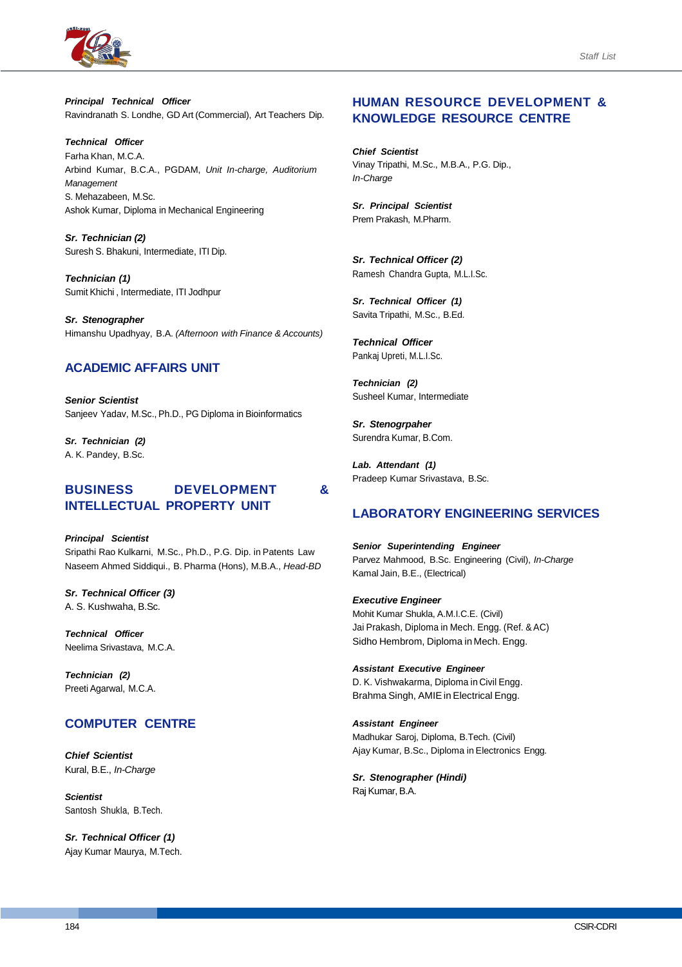

*Principal Technical Officer* Ravindranath S. Londhe, GD Art (Commercial), Art Teachers Dip.

*Technical Officer* Farha Khan, M.C.A. Arbind Kumar, B.C.A., PGDAM, *Unit In-charge, Auditorium Management* S. Mehazabeen, M.Sc. Ashok Kumar, Diploma in Mechanical Engineering

*Sr. Technician (2)* Suresh S. Bhakuni, Intermediate, ITI Dip.

*Technician (1)* Sumit Khichi , Intermediate, ITI Jodhpur

*Sr. Stenographer* Himanshu Upadhyay, B.A. *(Afternoon with Finance & Accounts)*

## **ACADEMIC AFFAIRS UNIT**

*Senior Scientist* Sanjeev Yadav, M.Sc., Ph.D., PG Diploma in Bioinformatics

*Sr. Technician (2)* A. K. Pandey, B.Sc.

### **BUSINESS DEVELOPMENT & INTELLECTUAL PROPERTY UNIT**

*Principal Scientist* Sripathi Rao Kulkarni, M.Sc., Ph.D., P.G. Dip. in Patents Law Naseem Ahmed Siddiqui., B. Pharma (Hons), M.B.A., *Head-BD*

*Sr. Technical Officer (3)* A. S. Kushwaha, B.Sc.

*Technical Officer* Neelima Srivastava, M.C.A.

*Technician (2)* Preeti Agarwal, M.C.A.

# **COMPUTER CENTRE**

*Chief Scientist* Kural, B.E., *In-Charge*

*Scientist* Santosh Shukla, B.Tech.

*Sr. Technical Officer (1)* Ajay Kumar Maurya, M.Tech.

## **HUMAN RESOURCE DEVELOPMENT & KNOWLEDGE RESOURCE CENTRE**

*Chief Scientist* Vinay Tripathi, M.Sc., M.B.A., P.G. Dip., *In-Charge*

*Sr. Principal Scientist* Prem Prakash, M.Pharm.

*Sr. Technical Officer (2)* Ramesh Chandra Gupta, M.L.I.Sc.

*Sr. Technical Officer (1)* Savita Tripathi, M.Sc., B.Ed.

*Technical Officer* Pankaj Upreti, M.L.I.Sc.

*Technician (2)* Susheel Kumar, Intermediate

*Sr. Stenogrpaher* Surendra Kumar, B.Com.

*Lab. Attendant (1)* Pradeep Kumar Srivastava, B.Sc.

## **LABORATORY ENGINEERING SERVICES**

*Senior Superintending Engineer* Parvez Mahmood, B.Sc. Engineering (Civil), *In-Charge* Kamal Jain, B.E., (Electrical)

*Executive Engineer* Mohit Kumar Shukla, A.M.I.C.E. (Civil) Jai Prakash, Diploma in Mech. Engg. (Ref. & AC) Sidho Hembrom, Diploma in Mech. Engg.

*Assistant Executive Engineer* D. K. Vishwakarma, Diploma in Civil Engg. Brahma Singh, AMIE in Electrical Engg.

*Assistant Engineer* Madhukar Saroj, Diploma, B.Tech. (Civil) Ajay Kumar, B.Sc., Diploma in Electronics Engg.

*Sr. Stenographer (Hindi)* Raj Kumar, B.A.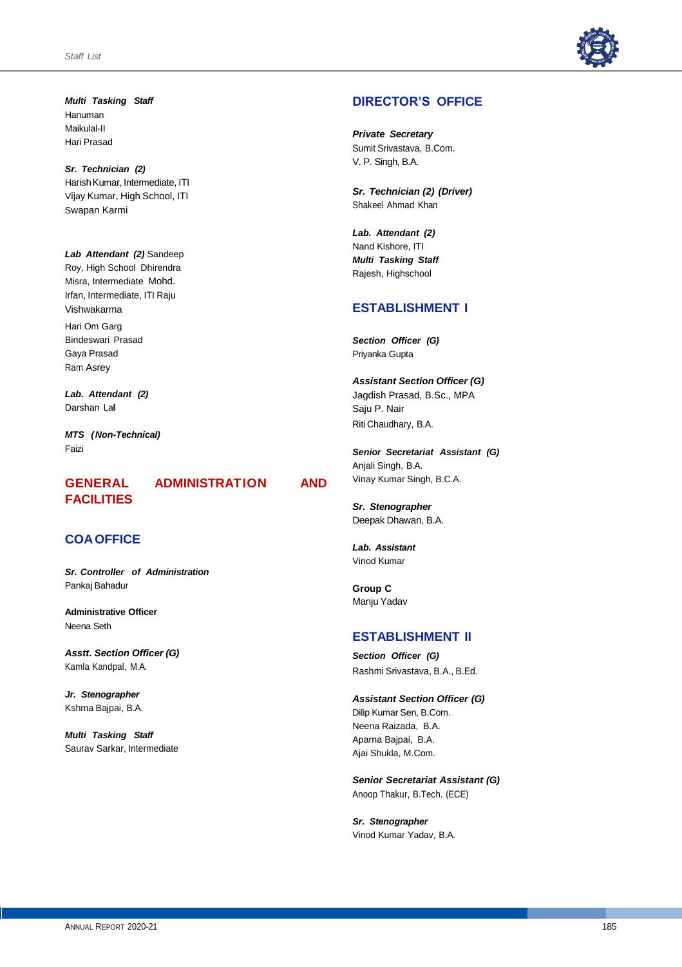

*Multi Tasking Staff* Hanuman Maikulal-II Hari Prasad

*Sr. Technician (2)* Harish Kumar, Intermediate, ITI Vijay Kumar, High School, ITI Swapan Karmi

*Lab Attendant (2)* Sandeep Roy, High School Dhirendra Misra, Intermediate Mohd. Irfan, Intermediate, ITI Raju Vishwakarma Hari Om Garg Bindeswari Prasad Gaya Prasad Ram Asrey

*Lab. Attendant (2)* Darshan La**l**

*MTS (Non-Technical)* Faizi

# **FACILITIES**

# **GENERAL ADMINISTRATION AND**

## **COAOFFICE**

*Sr. Controller of Administration* Pankaj Bahadur

**Administrative Officer** Neena Seth

*Asstt. Section Officer (G)* Kamla Kandpal, M.A.

*Jr. Stenographer* Kshma Bajpai, B.A.

*Multi Tasking Staff* Saurav Sarkar, Intermediate

## **DIRECTOR'S OFFICE**

*Private Secretary* Sumit Srivastava, B.Com. V. P. Singh, B.A.

*Sr. Technician (2) (Driver)* Shakeel Ahmad Khan

*Lab. Attendant (2)*  Nand Kishore, ITI *Multi Tasking Staff*  Rajesh, Highschool

## **ESTABLISHMENT I**

*Section Officer (G)* Priyanka Gupta

*Assistant Section Officer (G)*  Jagdish Prasad, B.Sc., MPA Saju P. Nair Riti Chaudhary, B.A.

*Senior Secretariat Assistant (G)* Anjali Singh, B.A. Vinay Kumar Singh, B.C.A.

*Sr. Stenographer* Deepak Dhawan, B.A.

*Lab. Assistant* Vinod Kumar

**Group C** Manju Yadav

## **ESTABLISHMENT II**

*Section Officer (G)* Rashmi Srivastava, B.A., B.Ed.

*Assistant Section Officer (G)* Dilip Kumar Sen, B.Com. Neena Raizada, B.A. Aparna Bajpai, B.A. Ajai Shukla, M.Com.

*Senior Secretariat Assistant (G)* Anoop Thakur, B.Tech. (ECE)

*Sr. Stenographer* Vinod Kumar Yadav, B.A.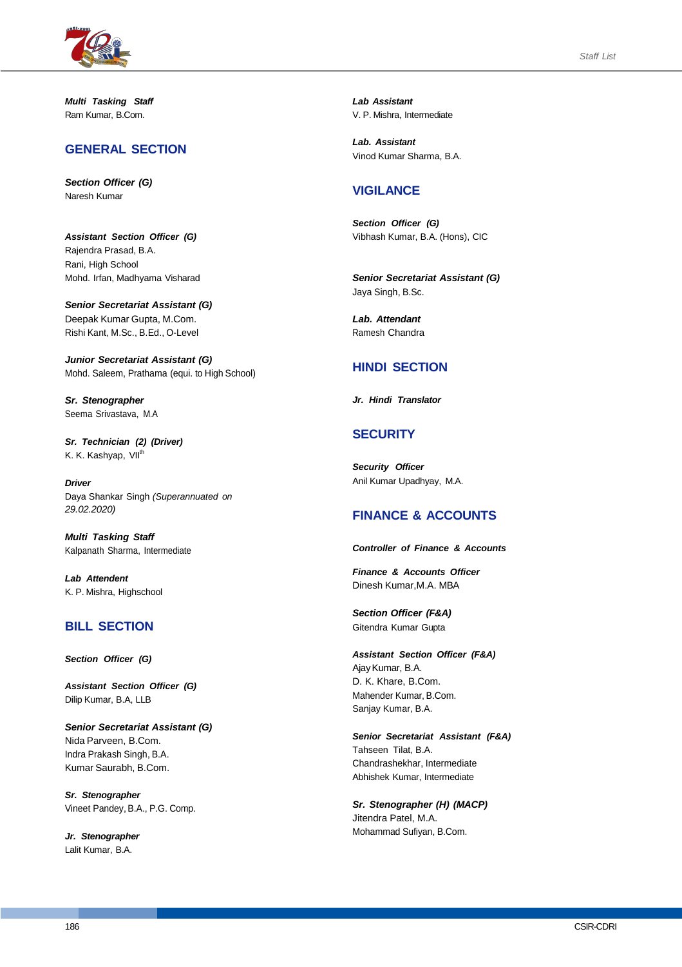

*Multi Tasking Staff* Ram Kumar, B.Com.

## **GENERAL SECTION**

*Section Officer (G)* Naresh Kumar

*Assistant Section Officer (G)* Rajendra Prasad, B.A. Rani, High School Mohd. Irfan, Madhyama Visharad

*Senior Secretariat Assistant (G)* Deepak Kumar Gupta, M.Com. Rishi Kant, M.Sc., B.Ed., O-Level

*Junior Secretariat Assistant (G)* Mohd. Saleem, Prathama (equi. to High School)

*Sr. Stenographer* Seema Srivastava, M.A

*Sr. Technician (2) (Driver)* K. K. Kashyap, VII<sup>th</sup>

*Driver* Daya Shankar Singh *(Superannuated on 29.02.2020)*

*Multi Tasking Staff* Kalpanath Sharma, Intermediate

*Lab Attendent* K. P. Mishra, Highschool

# **BILL SECTION**

*Section Officer (G)*

*Assistant Section Officer (G)* Dilip Kumar, B.A, LLB

*Senior Secretariat Assistant (G)* Nida Parveen, B.Com. Indra Prakash Singh, B.A. Kumar Saurabh, B.Com.

*Sr. Stenographer* Vineet Pandey, B.A., P.G. Comp.

*Jr. Stenographer* Lalit Kumar, B.A.

*Lab Assistant* V. P. Mishra, Intermediate

*Lab. Assistant* Vinod Kumar Sharma, B.A.

## **VIGILANCE**

*Section Officer (G)* Vibhash Kumar, B.A. (Hons), CIC

*Senior Secretariat Assistant (G)* Jaya Singh, B.Sc.

*Lab. Attendant* Ramesh Chandra

## **HINDI SECTION**

*Jr. Hindi Translator*

# **SECURITY**

*Security Officer* Anil Kumar Upadhyay, M.A.

# **FINANCE & ACCOUNTS**

*Controller of Finance & Accounts* 

*Finance & Accounts Officer* Dinesh Kumar,M.A. MBA

*Section Officer (F&A)* Gitendra Kumar Gupta

*Assistant Section Officer (F&A)* AjayKumar, B.A. D. K. Khare, B.Com. Mahender Kumar, B.Com. Sanjay Kumar, B.A.

*Senior Secretariat Assistant (F&A)* Tahseen Tilat, B.A. Chandrashekhar, Intermediate Abhishek Kumar, Intermediate

*Sr. Stenographer (H) (MACP)* Jitendra Patel, M.A. Mohammad Sufiyan, B.Com.